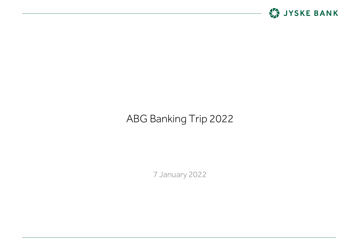

# ABG Banking Trip 2022

7 January 2022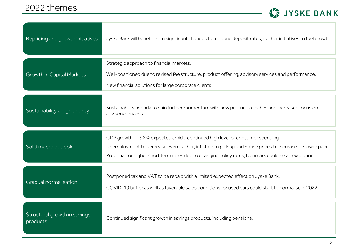

| Repricing and growth initiatives         | Jyske Bank will benefit from significant changes to fees and deposit rates; further initiatives to fuel growth.                                                                                                                                                                                 |  |  |
|------------------------------------------|-------------------------------------------------------------------------------------------------------------------------------------------------------------------------------------------------------------------------------------------------------------------------------------------------|--|--|
| <b>Growth in Capital Markets</b>         | Strategic approach to financial markets.<br>Well-positioned due to revised fee structure, product offering, advisory services and performance.<br>New financial solutions for large corporate clients                                                                                           |  |  |
| Sustainability a high priority           | Sustainability agenda to gain further momentum with new product launches and increased focus on<br>advisory services.                                                                                                                                                                           |  |  |
| Solid macro outlook                      | GDP growth of 3.2% expected amid a continued high level of consumer spending.<br>Unemployment to decrease even further, inflation to pick up and house prices to increase at slower pace.<br>Potential for higher short term rates due to changing policy rates; Denmark could be an exception. |  |  |
| Gradual normalisation                    | Postponed tax and VAT to be repaid with a limited expected effect on Jyske Bank.<br>COVID-19 buffer as well as favorable sales conditions for used cars could start to normalise in 2022.                                                                                                       |  |  |
| Structural growth in savings<br>products | Continued significant growth in savings products, including pensions.                                                                                                                                                                                                                           |  |  |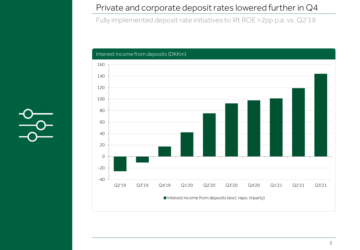### Private and corporate deposit rates lowered further in Q4

Fully implemented deposit rate initiatives to lift ROE >2pp p.a. vs. Q2'19



 $\frac{1}{2}$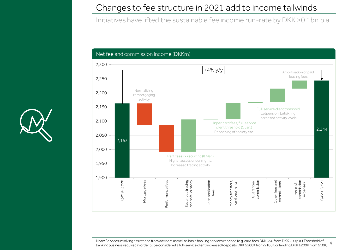#### Changes to fee structure in 2021 add to income tailwinds

Initiatives have lifted the sustainable fee income run-rate by DKK >0.1bn p.a.





Note: Services involving assistance nom advisors as weiras basic banking services repriced (e.g. card rees DKK >500 hom DKK 200 p.a.) Threshold or<br>banking business required in order to be considered a full-service client Note: Services involving assistance from advisors as well as basic banking services repriced (e.g. card fees DKK 350 from DKK 200 p.a.) Threshold of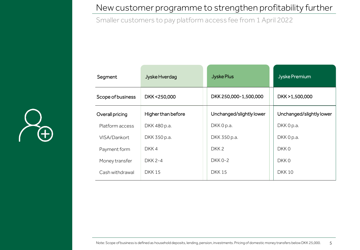### New customer programme to strengthen profitability further

Smaller customers to pay platform access fee from 1 April 2022



| Segment           | Jyske Hverdag      | <b>Jyske Plus</b>        | Jyske Premium            |
|-------------------|--------------------|--------------------------|--------------------------|
| Scope of business | DKK <250,000       | DKK 250,000-1,500,000    | DKK > 1,500,000          |
| Overall pricing   | Higher than before | Unchanged/slightly lower | Unchanged/slightly lower |
| Platform access   | DKK 480 p.a.       | DKK 0 p.a.               | DKK 0 p.a.               |
| VISA/Dankort      | DKK 350 p.a.       | DKK 350 p.a.             | DKK 0 p.a.               |
| Payment form      | DKK4               | DKK <sub>2</sub>         | DKK 0                    |
| Money transfer    | <b>DKK 2-4</b>     | <b>DKK 0-2</b>           | DKK 0                    |
| Cash withdrawal   | <b>DKK15</b>       | <b>DKK15</b>             | <b>DKK10</b>             |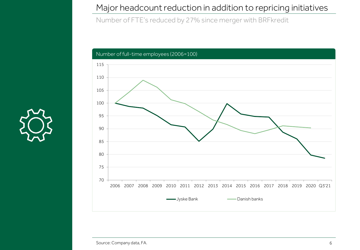### Major headcount reduction in addition to repricing initiatives

Number of FTE's reduced by 27% since merger with BRFkredit



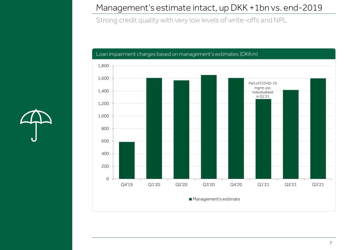### Management's estimate intact, up DKK +1bn vs. end-2019

Strong credit quality with very low levels of write-offs and NPL



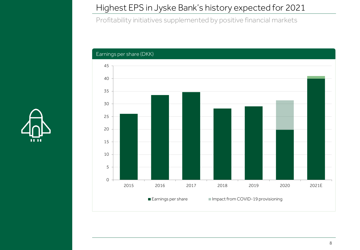## Highest EPS in Jyske Bank's history expected for 2021

Profitability initiatives supplemented by positive financial markets



![](_page_7_Picture_3.jpeg)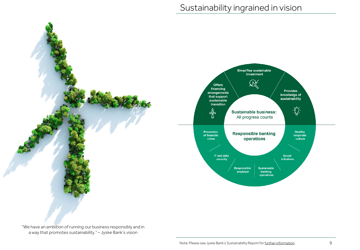Simplifies sustainable<br>investment

 $\mathbb{Q}$ 

**Sustainable business:** All progress counts

**Responsible banking** 

operations

**Sustainable** banking operations

Responsible<br>employer

Provides

knowledge of

sustainability

Social<br>initiatives

 $\sum_{i=1}^{n} \sum_{j=1}^{n} \tilde{a}_{ij}$ 

**Healthy** 

corporate

culture

Offers financing

arrangements

that support<br>sustainable

transition

**IT and data** security

 $\frac{1}{\sqrt{2}}$ 

**Prevention**<br>of financial

crime

![](_page_8_Figure_1.jpeg)

"We have an ambition of running our business responsibly and in a way that promotes sustainability." – Jyske Bank's vision